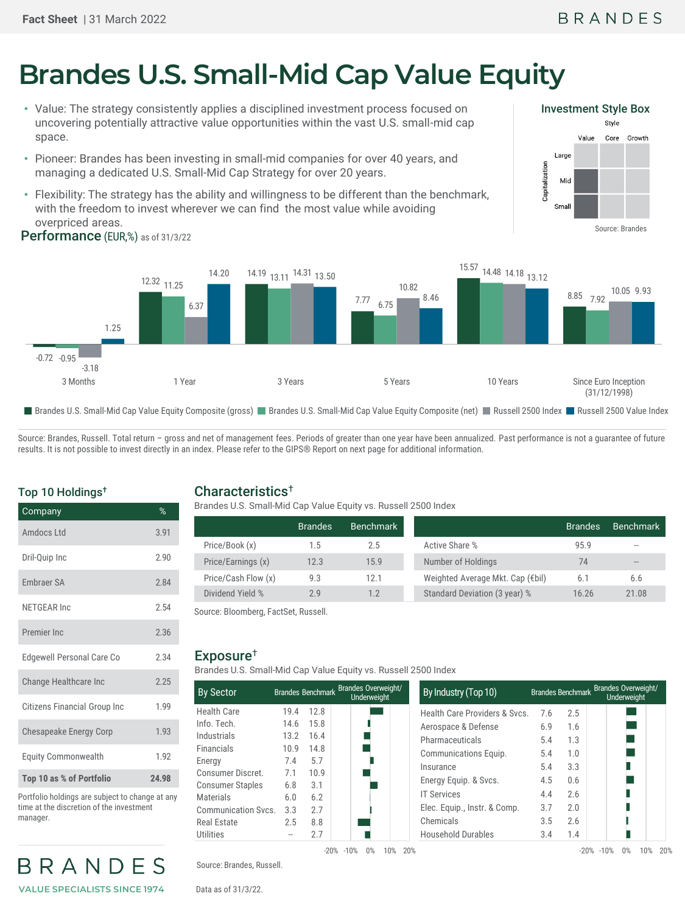# **Brandes U.S. Small-Mid Cap Value Equity**

- Value: The strategy consistently applies a disciplined investment process focused on uncovering potentially attractive value opportunities within the vast U.S. small-mid cap space.
- Pioneer: Brandes has been investing in small-mid companies for over 40 years, and managing a dedicated U.S. Small-Mid Cap Strategy for over 20 years.
- Performance (EUR,%) as of 31/3/22 • Flexibility: The strategy has the ability and willingness to be different than the benchmark, with the freedom to invest wherever we can find the most value while avoiding overpriced areas.



Source: Brandes, Russell. Total return - gross and net of management fees. Periods of greater than one year have been annualized. Past performance is not a guarantee of future results. It is not possible to invest directly in an index. Please refer to the GIPS® Report on next page for additional information.

#### Top 10 Holdings†

| Company                             | $\%$  |
|-------------------------------------|-------|
| Amdocs I td                         | 3.91  |
| Dril-Quip Inc                       | 2.90  |
| <b>Embraer SA</b>                   | 2.84  |
| NFTGFAR Inc                         | 2.54  |
| Premier Inc.                        | 2.36  |
| <b>Edgewell Personal Care Co</b>    | 2.34  |
| Change Healthcare Inc               | 2.25  |
| <b>Citizens Financial Group Inc</b> | 1.99  |
| Chesapeake Energy Corp              | 1.93  |
| <b>Equity Commonwealth</b>          | 1.92  |
| Top 10 as % of Portfolio            | 24.98 |

Portfolio holdings are subject to change at any time at the discretion of the investment manager.

## BRANDES **VALUE SPECIALISTS SINCE 1974**

#### Characteristics†

Brandes U.S. Small-Mid Cap Value Equity vs. Russell 2500 Index

|                     | <b>Brandes</b> | Benchmark |                                  | <b>Brandes</b> | <b>Benchmark</b> |
|---------------------|----------------|-----------|----------------------------------|----------------|------------------|
| Price/Book (x)      | 1.5            | 2.5       | Active Share %                   | 95.9           | $- -$            |
| Price/Earnings (x)  | 12.3           | 15.9      | Number of Holdings               | 74             | $- -$            |
| Price/Cash Flow (x) | 9.3            | 12.1      | Weighted Average Mkt. Cap (€bil) | 6.1            | 6.6              |
| Dividend Yield %    | 2.9            | 1.2       | Standard Deviation (3 year) %    | 16.26          | 21.08            |

Source: Bloomberg, FactSet, Russell.

#### Exposure†

Brandes U.S. Small-Mid Cap Value Equity vs. Russell 2500 Index

| <b>By Sector</b>           |      |      | Brandes Benchmark Brandes Overweight/<br><b>Underweight</b> | By Industry (Top 10)        |
|----------------------------|------|------|-------------------------------------------------------------|-----------------------------|
| <b>Health Care</b>         | 19.4 | 12.8 |                                                             | <b>Health Care Provider</b> |
| Info. Tech.                | 14.6 | 15.8 |                                                             | Aerospace & Defense         |
| Industrials                | 13.2 | 16.4 |                                                             | Pharmaceuticals             |
| <b>Financials</b>          | 10.9 | 14.8 |                                                             | <b>Communications Equ</b>   |
| Energy                     | 7.4  | 5.7  |                                                             | Insurance                   |
| Consumer Discret.          | 7.1  | 10.9 |                                                             |                             |
| <b>Consumer Staples</b>    | 6.8  | 3.1  |                                                             | Energy Equip. & Svcs        |
| <b>Materials</b>           | 6.0  | 6.2  |                                                             | <b>IT Services</b>          |
| <b>Communication Svcs.</b> | 3.3  | 2.7  |                                                             | Elec. Equip., Instr. &      |
| <b>Real Estate</b>         | 2.5  | 8.8  |                                                             | Chemicals                   |
| <b>Utilities</b>           |      | 2.7  |                                                             | <b>Household Durables</b>   |
|                            |      |      | $-20\% -10\%$<br>$0\%$<br>10%                               | 20%                         |

| <b>Brandes Overweight/</b><br><b>Brandes Benchmark</b><br><b>Underweight</b> |        |                               | By Industry (Top 10)          | <b>Brandes Overweight/</b><br><b>Brandes Benchmark</b><br>Underweight |        |                     |     |  |
|------------------------------------------------------------------------------|--------|-------------------------------|-------------------------------|-----------------------------------------------------------------------|--------|---------------------|-----|--|
| 19.4                                                                         | 12.8   |                               | Health Care Providers & Svcs. | 7.6                                                                   | 2.5    |                     |     |  |
| 14.6                                                                         | 15.8   |                               | Aerospace & Defense           | 6.9                                                                   | 1.6    |                     |     |  |
| 13.2                                                                         | 16.4   |                               | Pharmaceuticals               | 5.4                                                                   | 1.3    |                     |     |  |
| 10.9                                                                         | 14.8   |                               | Communications Equip.         | 5.4                                                                   | 1.0    |                     |     |  |
| 7.4                                                                          | 5.7    |                               | Insurance                     | 5.4                                                                   | 3.3    |                     |     |  |
| 7.1                                                                          | 10.9   |                               |                               |                                                                       |        |                     |     |  |
| 6.8                                                                          | 3.1    |                               | Energy Equip. & Svcs.         | 4.5                                                                   | 0.6    |                     |     |  |
| 6.0                                                                          | 6.2    |                               | <b>IT Services</b>            | 4.4                                                                   | 2.6    |                     |     |  |
| 3.3                                                                          | 2.7    |                               | Elec. Equip., Instr. & Comp.  | 3.7                                                                   | 2.0    |                     |     |  |
| 2.5                                                                          | 8.8    |                               | Chemicals                     | 3.5                                                                   | 2.6    |                     |     |  |
|                                                                              | 2.7    |                               | <b>Household Durables</b>     | 3.4                                                                   | 1.4    |                     |     |  |
|                                                                              | $-20%$ | $0\%$<br>10%<br>20%<br>$-10%$ |                               |                                                                       | $-20%$ | 10%<br>$-10%$<br>0% | 20% |  |

Source: Brandes, Russell.

Data as of 31/3/22.

### Investment Style Box